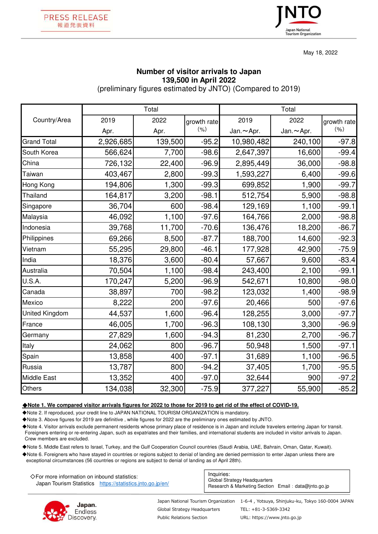



May 18, 2022

## **Number of visitor arrivals to Japan 139,500 in April 2022**

(preliminary figures estimated by JNTO) (Compared to 2019)

|                    | Total     |         |             | Total            |                  |             |
|--------------------|-----------|---------|-------------|------------------|------------------|-------------|
| Country/Area       | 2019      | 2022    | growth rate | 2019             | 2022             | growth rate |
|                    | Apr.      | Apr.    | (% )        | Jan. $\sim$ Apr. | Jan. $\sim$ Apr. | (9/6)       |
| <b>Grand Total</b> | 2,926,685 | 139,500 | $-95.2$     | 10,980,482       | 240,100          | $-97.8$     |
| South Korea        | 566,624   | 7,700   | $-98.6$     | 2,647,397        | 16,600           | $-99.4$     |
| China              | 726,132   | 22,400  | $-96.9$     | 2,895,449        | 36,000           | $-98.8$     |
| Taiwan             | 403,467   | 2,800   | $-99.3$     | 1,593,227        | 6,400            | $-99.6$     |
| Hong Kong          | 194,806   | 1,300   | $-99.3$     | 699,852          | 1,900            | $-99.7$     |
| Thailand           | 164,817   | 3,200   | $-98.1$     | 512,754          | 5,900            | $-98.8$     |
| Singapore          | 36,704    | 600     | $-98.4$     | 129,169          | 1,100            | $-99.1$     |
| Malaysia           | 46,092    | 1,100   | $-97.6$     | 164,766          | 2,000            | $-98.8$     |
| Indonesia          | 39,768    | 11,700  | $-70.6$     | 136,476          | 18,200           | $-86.7$     |
| Philippines        | 69,266    | 8,500   | $-87.7$     | 188,700          | 14,600           | $-92.3$     |
| Vietnam            | 55,295    | 29,800  | $-46.1$     | 177,928          | 42,900           | $-75.9$     |
| India              | 18,376    | 3,600   | $-80.4$     | 57,667           | 9,600            | $-83.4$     |
| Australia          | 70,504    | 1,100   | $-98.4$     | 243,400          | 2,100            | $-99.1$     |
| U.S.A.             | 170,247   | 5,200   | $-96.9$     | 542,671          | 10,800           | $-98.0$     |
| Canada             | 38,897    | 700     | $-98.2$     | 123,032          | 1,400            | $-98.9$     |
| Mexico             | 8,222     | 200     | $-97.6$     | 20,466           | 500              | $-97.6$     |
| United Kingdom     | 44,537    | 1,600   | $-96.4$     | 128,255          | 3,000            | $-97.7$     |
| France             | 46,005    | 1,700   | $-96.3$     | 108,130          | 3,300            | $-96.9$     |
| Germany            | 27,829    | 1,600   | $-94.3$     | 81,230           | 2,700            | $-96.7$     |
| Italy              | 24,062    | 800     | $-96.7$     | 50,948           | 1,500            | $-97.1$     |
| Spain              | 13,858    | 400     | $-97.1$     | 31,689           | 1,100            | $-96.5$     |
| Russia             | 13,787    | 800     | $-94.2$     | 37,405           | 1,700            | $-95.5$     |
| Middle East        | 13,352    | 400     | $-97.0$     | 32,644           | 900              | $-97.2$     |
| Others             | 134,038   | 32,300  | $-75.9$     | 377,227          | 55,900           | $-85.2$     |

## ◆**Note 1. We compared visitor arrivals figures for 2022 to those for 2019 to get rid of the effect of COVID-19.**

◆Note 2. If reproduced, your credit line to JAPAN NATIONAL TOURISM ORGANIZATION is mandatory.

◆Note 3. Above figures for 2019 are definitive , while figures for 2022 are the preliminary ones estimated by JNTO.

◆Note 4. Visitor arrivals exclude permanent residents whose primary place of residence is in Japan and include travelers entering Japan for transit. Foreigners entering or re-entering Japan, such as expatriates and their families, and international students are included in visitor arrivals to Japan. Crew members are excluded.

◆Note 5. Middle East refers to Israel, Turkey, and the Gulf Cooperation Council countries (Saudi Arabia, UAE, Bahrain, Oman, Qatar, Kuwait).

◆Note 6. Foreigners who have stayed in countries or regions subject to denial of landing are denied permission to enter Japan unless there are exceptional circumstances (56 countries or regions are subject to denial of landing as of April 28th).

| $\Diamond$ For more information on inbound statistics:     | Inquiries:                                                                          |  |  |
|------------------------------------------------------------|-------------------------------------------------------------------------------------|--|--|
| Japan Tourism Statistics https://statistics.jnto.go.jp/en/ | Global Strategy Headquarters<br>Research & Marketing Section Email: data@into.go.jp |  |  |



Global Strategy Headquarters Public Relations Section

Japan National Tourism Organization 1-6-4 , Yotsuya, Shinjuku-ku, Tokyo 160-0004 JAPAN TEL: +81-3-5369-3342

URL: https://www.jnto.go.jp